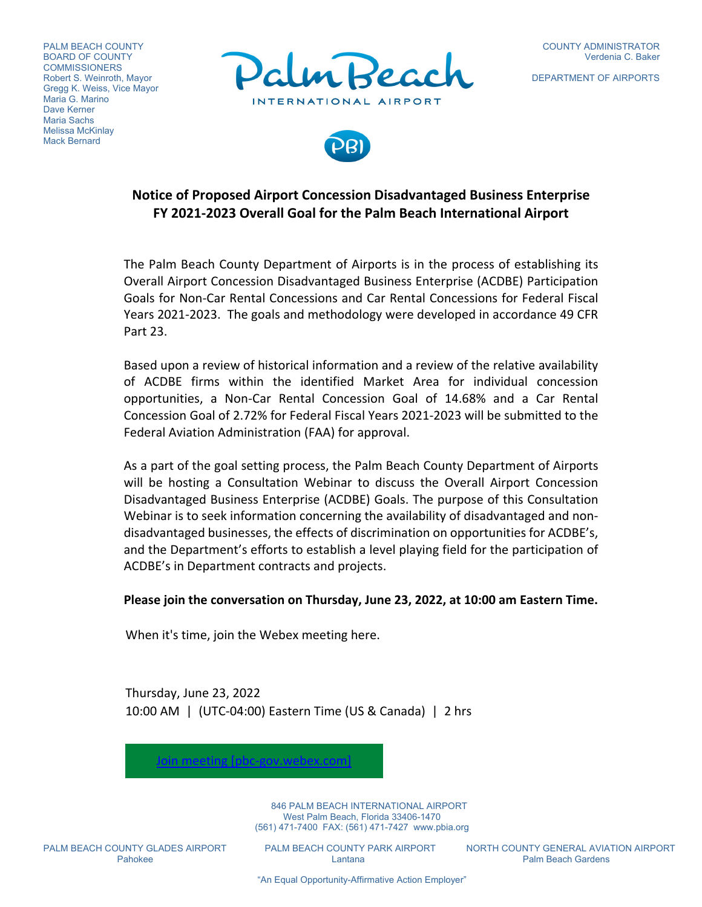PALM BEACH COUNTY BOARD OF COUNTY **COMMISSIONERS** Robert S. Weinroth, Mayor Gregg K. Weiss, Vice Mayor Maria G. Marino Dave Kerner Maria Sachs Melissa McKinlay Mack Bernard



DEPARTMENT OF AIRPORTS



# **Notice of Proposed Airport Concession Disadvantaged Business Enterprise FY 2021‐2023 Overall Goal for the Palm Beach International Airport**

The Palm Beach County Department of Airports is in the process of establishing its Overall Airport Concession Disadvantaged Business Enterprise (ACDBE) Participation Goals for Non‐Car Rental Concessions and Car Rental Concessions for Federal Fiscal Years 2021‐2023. The goals and methodology were developed in accordance 49 CFR Part 23.

Based upon a review of historical information and a review of the relative availability of ACDBE firms within the identified Market Area for individual concession opportunities, a Non‐Car Rental Concession Goal of 14.68% and a Car Rental Concession Goal of 2.72% for Federal Fiscal Years 2021‐2023 will be submitted to the Federal Aviation Administration (FAA) for approval.

As a part of the goal setting process, the Palm Beach County Department of Airports will be hosting a Consultation Webinar to discuss the Overall Airport Concession Disadvantaged Business Enterprise (ACDBE) Goals. The purpose of this Consultation Webinar is to seek information concerning the availability of disadvantaged and non‐ disadvantaged businesses, the effects of discrimination on opportunities for ACDBE's, and the Department's efforts to establish a level playing field for the participation of ACDBE's in Department contracts and projects.

## **Please join the conversation on Thursday, June 23, 2022, at 10:00 am Eastern Time.**

When it's time, join the Webex meeting here.

Join meeting [pbc-gov.webex.com]

Thursday, June 23, 2022 10:00 AM | (UTC‐04:00) Eastern Time (US & Canada) | 2 hrs

> 846 PALM BEACH INTERNATIONAL AIRPORT West Palm Beach, Florida 33406-1470 (561) 471-7400 FAX: (561) 471-7427 www.pbia.org

Pahokee **Lantana** Lantana **Pahokee Rantana Rantana Rantana Rantana** Palm Beach Gardens

PALM BEACH COUNTY GLADES AIRPORT PALM BEACH COUNTY PARK AIRPORT NORTH COUNTY GENERAL AVIATION AIRPORT

"An Equal Opportunity-Affirmative Action Employer"